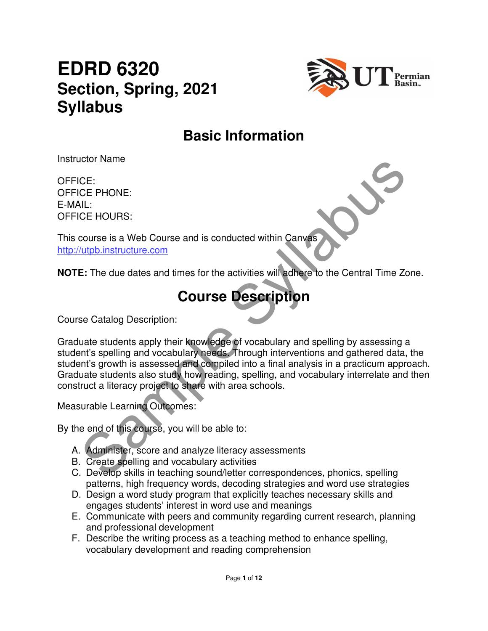# **EDRD 6320 Section, Spring, 2021 Syllabus**



## **Basic Information**

Instructor Name

OFFICE: OFFICE PHONE: E-MAIL: OFFICE HOURS:

This course is a Web Course and is conducted within Canvas http://utpb.instructure.com

**NOTE:** The due dates and times for the activities will adhere to the Central Time Zone.

## **Course Description**

Course Catalog Description:

CE:<br>
CE PHONE:<br>
CE PHONE:<br>
CE PHONE:<br>
CE PHONE:<br>
CE PHONE:<br>
CE PHONE:<br>
SAMPLE SAMPLE COUTSE DESCRIPTION<br>
SAMPLE SAMPLE COUTSE DESCRIPTION<br>
SAMPLE SAMPLE COUTSE DESCRIPTION<br>
SAMPLE SAMPLE COUTSE DESCRIPTION<br>
SAMPLE SAMPLE S Graduate students apply their knowledge of vocabulary and spelling by assessing a student's spelling and vocabulary needs. Through interventions and gathered data, the student's growth is assessed and compiled into a final analysis in a practicum approach. Graduate students also study how reading, spelling, and vocabulary interrelate and then construct a literacy project to share with area schools.

Measurable Learning Outcomes:

By the end of this course, you will be able to:

- A. Administer, score and analyze literacy assessments
- B. Create spelling and vocabulary activities
- C. Develop skills in teaching sound/letter correspondences, phonics, spelling patterns, high frequency words, decoding strategies and word use strategies
- D. Design a word study program that explicitly teaches necessary skills and engages students' interest in word use and meanings
- E. Communicate with peers and community regarding current research, planning and professional development
- F. Describe the writing process as a teaching method to enhance spelling, vocabulary development and reading comprehension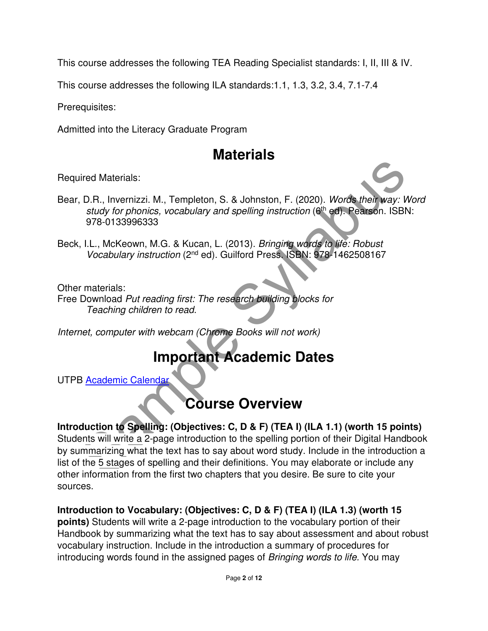This course addresses the following TEA Reading Specialist standards: I, II, III & IV.

This course addresses the following ILA standards:1.1, 1.3, 3.2, 3.4, 7.1-7.4

Prerequisites:

Admitted into the Literacy Graduate Program

## **Materials**

Required Materials:

- Bear, D.R., Invernizzi. M., Templeton, S. & Johnston, F. (2020). Words their way: Word study for phonics, vocabulary and spelling instruction (6<sup>th</sup> ed). Pearson. ISBN: 978-0133996333
- Beck, I.L., McKeown, M.G. & Kucan, L. (2013). Bringing words to life: Robust Vocabulary instruction (2nd ed). Guilford Press. ISBN: 978-1462508167

Other materials:

Free Download Put reading first: The research building blocks for Teaching children to read.

Internet, computer with webcam (Chrome Books will not work)

## **Important Academic Dates**

UTPB Academic Calendar

## **Course Overview**

# ired Materials:<br>
D.R., Inventizzi. M., Templeton, S. & Johnston, F. (2020). Words their way: Words the study for phonics, vocabulary and spelling instruction (a<sup>lt</sup> ed). Peatson. ISBN:<br>
978-0133996333<br>
1.L., McKeown, M.G. **Introduction to Spelling: (Objectives: C, D & F) (TEA I) (ILA 1.1) (worth 15 points)**  Students will write a 2-page introduction to the spelling portion of their Digital Handbook by summarizing what the text has to say about word study. Include in the introduction a list of the 5 stages of spelling and their definitions. You may elaborate or include any other information from the first two chapters that you desire. Be sure to cite your

sources.

**Introduction to Vocabulary: (Objectives: C, D & F) (TEA I) (ILA 1.3) (worth 15** 

**points)** Students will write a 2-page introduction to the vocabulary portion of their Handbook by summarizing what the text has to say about assessment and about robust vocabulary instruction. Include in the introduction a summary of procedures for introducing words found in the assigned pages of Bringing words to life. You may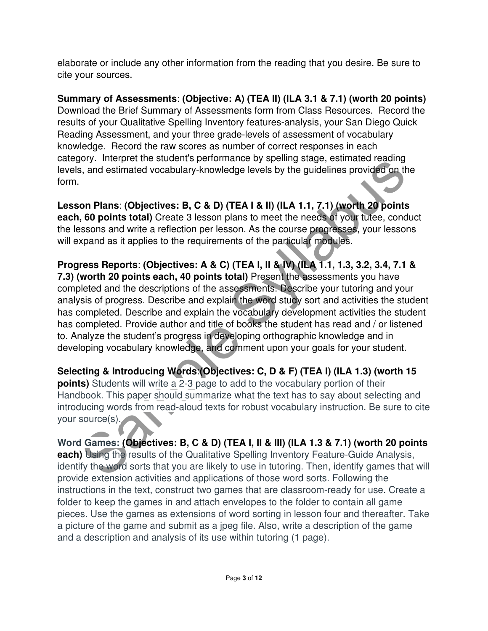elaborate or include any other information from the reading that you desire. Be sure to cite your sources.

**Summary of Assessments**: **(Objective: A) (TEA II) (ILA 3.1 & 7.1) (worth 20 points)** Download the Brief Summary of Assessments form from Class Resources. Record the results of your Qualitative Spelling Inventory features-analysis, your San Diego Quick Reading Assessment, and your three grade-levels of assessment of vocabulary knowledge. Record the raw scores as number of correct responses in each category. Interpret the student's performance by spelling stage, estimated reading levels, and estimated vocabulary-knowledge levels by the guidelines provided on the form.

**Lesson Plans**: **(Objectives: B, C & D) (TEA I & II) (ILA 1.1, 7.1) (worth 20 points each, 60 points total)** Create 3 lesson plans to meet the needs of your tutee, conduct the lessons and write a reflection per lesson. As the course progresses, your lessons will expand as it applies to the requirements of the particular modules.

Soly. Imelyied the suddents performance by spending stage, estimated reading<br>and estimated vocabulary-knowledge levels by the guidelines provided on the<br>on Plans: (Objectives: B, C & D) (TEA I & II) (ILA 1.1, 7.1) (worth 2 **Progress Reports**: **(Objectives: A & C) (TEA I, II & IV) (ILA 1.1, 1.3, 3.2, 3.4, 7.1 & 7.3) (worth 20 points each, 40 points total)** Present the assessments you have completed and the descriptions of the assessments. Describe your tutoring and your analysis of progress. Describe and explain the word study sort and activities the student has completed. Describe and explain the vocabulary development activities the student has completed. Provide author and title of books the student has read and / or listened to. Analyze the student's progress in developing orthographic knowledge and in developing vocabulary knowledge, and comment upon your goals for your student.

**Selecting & Introducing Words**:**(Objectives: C, D & F) (TEA I) (ILA 1.3) (worth 15 points)** Students will write a 2-3 page to add to the vocabulary portion of their Handbook. This paper should summarize what the text has to say about selecting and introducing words from read-aloud texts for robust vocabulary instruction. Be sure to cite your source(s).

**Word Games: (Objectives: B, C & D) (TEA I, II & III) (ILA 1.3 & 7.1) (worth 20 points each)** Using the results of the Qualitative Spelling Inventory Feature-Guide Analysis, identify the word sorts that you are likely to use in tutoring. Then, identify games that will provide extension activities and applications of those word sorts. Following the instructions in the text, construct two games that are classroom-ready for use. Create a folder to keep the games in and attach envelopes to the folder to contain all game pieces. Use the games as extensions of word sorting in lesson four and thereafter. Take a picture of the game and submit as a jpeg file. Also, write a description of the game and a description and analysis of its use within tutoring (1 page).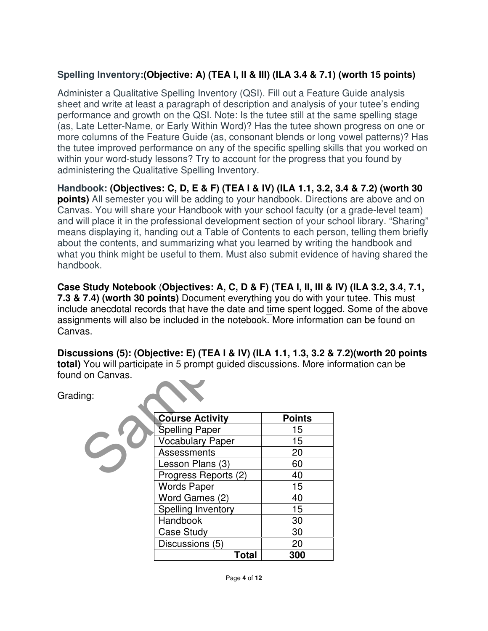#### **Spelling Inventory:(Objective: A) (TEA I, II & III) (ILA 3.4 & 7.1) (worth 15 points)**

Administer a Qualitative Spelling Inventory (QSI). Fill out a Feature Guide analysis sheet and write at least a paragraph of description and analysis of your tutee's ending performance and growth on the QSI. Note: Is the tutee still at the same spelling stage (as, Late Letter-Name, or Early Within Word)? Has the tutee shown progress on one or more columns of the Feature Guide (as, consonant blends or long vowel patterns)? Has the tutee improved performance on any of the specific spelling skills that you worked on within your word-study lessons? Try to account for the progress that you found by administering the Qualitative Spelling Inventory.

your word-study essents? The diactomic orientative Spelling Invertions (b) account to the progress that you out<br>an instering the Qualitative Spelling Invertory.<br> **Shook:** (Objectives: C, D, E & F) (TEA I & IV) (ILA 1.1, 3 **Handbook: (Objectives: C, D, E & F) (TEA I & IV) (ILA 1.1, 3.2, 3.4 & 7.2) (worth 30 points)** All semester you will be adding to your handbook. Directions are above and on Canvas. You will share your Handbook with your school faculty (or a grade-level team) and will place it in the professional development section of your school library. "Sharing" means displaying it, handing out a Table of Contents to each person, telling them briefly about the contents, and summarizing what you learned by writing the handbook and what you think might be useful to them. Must also submit evidence of having shared the handbook.

**Case Study Notebook** (**Objectives: A, C, D & F) (TEA I, II, III & IV) (ILA 3.2, 3.4, 7.1, 7.3 & 7.4) (worth 30 points)** Document everything you do with your tutee. This must include anecdotal records that have the date and time spent logged. Some of the above assignments will also be included in the notebook. More information can be found on Canvas.

**Discussions (5): (Objective: E) (TEA I & IV) (ILA 1.1, 1.3, 3.2 & 7.2)(worth 20 points total)** You will participate in 5 prompt guided discussions. More information can be found on Canvas.

Grading:

| <b>Course Activity</b>  | <b>Points</b> |
|-------------------------|---------------|
| <b>Spelling Paper</b>   | 15            |
| <b>Vocabulary Paper</b> | 15            |
| Assessments             | 20            |
| Lesson Plans (3)        | 60            |
| Progress Reports (2)    | 40            |
| <b>Words Paper</b>      | 15            |
| Word Games (2)          | 40            |
| Spelling Inventory      | 15            |
| Handbook                | 30            |
| <b>Case Study</b>       | 30            |
| Discussions (5)         | 20            |
| Total                   | 300           |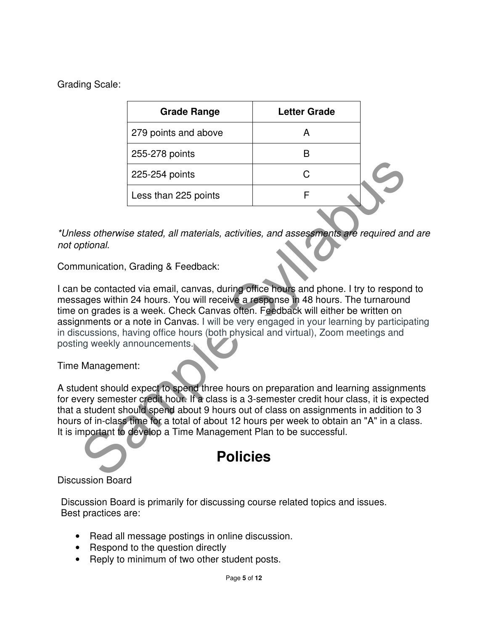Grading Scale:

| <b>Grade Range</b>   | <b>Letter Grade</b> |  |
|----------------------|---------------------|--|
| 279 points and above |                     |  |
| 255-278 points       |                     |  |
| 225-254 points       |                     |  |
| Less than 225 points |                     |  |
|                      |                     |  |

\*Unless otherwise stated, all materials, activities, and assessments are required and are not optional.

Communication, Grading & Feedback:

225-254 points<br>
Less than 225 points<br>
Ess therwise stated, all materials, activities, and assessments are required and<br>
prional.<br>
The contacted via email, carvas, during office hours and phone. I try to respond<br>
ages withi I can be contacted via email, canvas, during office hours and phone. I try to respond to messages within 24 hours. You will receive a response in 48 hours. The turnaround time on grades is a week. Check Canvas often. Feedback will either be written on assignments or a note in Canvas. I will be very engaged in your learning by participating in discussions, having office hours (both physical and virtual), Zoom meetings and posting weekly announcements.

Time Management:

A student should expect to spend three hours on preparation and learning assignments for every semester credit hour. If a class is a 3-semester credit hour class, it is expected that a student should spend about 9 hours out of class on assignments in addition to 3 hours of in-class time for a total of about 12 hours per week to obtain an "A" in a class. It is important to develop a Time Management Plan to be successful.

### **Policies**

#### Discussion Board

Discussion Board is primarily for discussing course related topics and issues. Best practices are:

- Read all message postings in online discussion.
- Respond to the question directly
- Reply to minimum of two other student posts.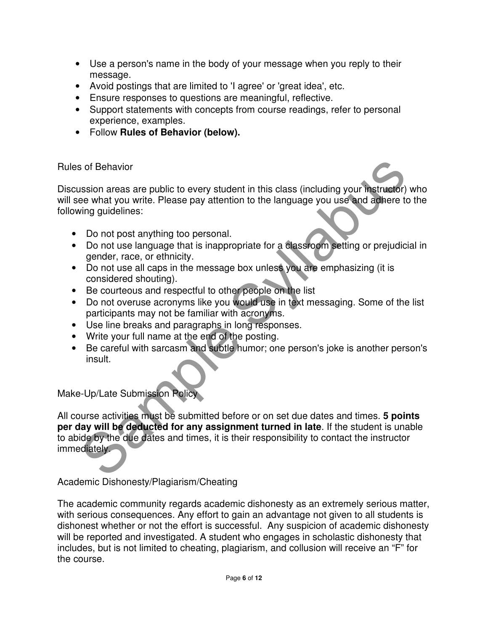- Use a person's name in the body of your message when you reply to their message.
- Avoid postings that are limited to 'I agree' or 'great idea', etc.
- Ensure responses to questions are meaningful, reflective.
- Support statements with concepts from course readings, refer to personal experience, examples.
- Follow **Rules of Behavior (below).**

#### Rules of Behavior

Discussion areas are public to every student in this class (including your instructor) who will see what you write. Please pay attention to the language you use and adhere to the following guidelines:

- Do not post anything too personal.
- Do not use language that is inappropriate for a classroom setting or prejudicial in gender, race, or ethnicity.
- Do not use all caps in the message box unless you are emphasizing (it is considered shouting).
- Be courteous and respectful to other people on the list
- Do not overuse acronyms like you would use in text messaging. Some of the list participants may not be familiar with acronyms.
- Use line breaks and paragraphs in long responses.
- Write your full name at the end of the posting.
- Be careful with sarcasm and subtle humor; one person's joke is another person's insult.

Make-Up/Late Submission Policy

So the Benavior<br>
Sample Syllabus areas are public to every student in this class (including your instructor)<br>
See what you write. Please pay attention to the language you use and adhere to the<br>
Sung guidelines:<br>
Do not pos All course activities must be submitted before or on set due dates and times. **5 points per day will be deducted for any assignment turned in late**. If the student is unable to abide by the due dates and times, it is their responsibility to contact the instructor immediately.

Academic Dishonesty/Plagiarism/Cheating

The academic community regards academic dishonesty as an extremely serious matter, with serious consequences. Any effort to gain an advantage not given to all students is dishonest whether or not the effort is successful. Any suspicion of academic dishonesty will be reported and investigated. A student who engages in scholastic dishonesty that includes, but is not limited to cheating, plagiarism, and collusion will receive an "F" for the course.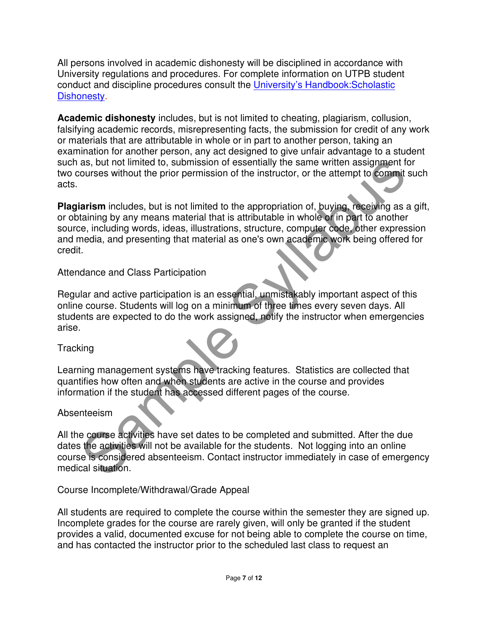All persons involved in academic dishonesty will be disciplined in accordance with University regulations and procedures. For complete information on UTPB student conduct and discipline procedures consult the University's Handbook:Scholastic Dishonesty.

**Academic dishonesty** includes, but is not limited to cheating, plagiarism, collusion, falsifying academic records, misrepresenting facts, the submission for credit of any work or materials that are attributable in whole or in part to another person, taking an examination for another person, any act designed to give unfair advantage to a student such as, but not limited to, submission of essentially the same written assignment for two courses without the prior permission of the instructor, or the attempt to commit such acts.

as, but not limited to, submission of essentially the same written assignment for<br>courses without the prior permission of the instructor, or the attempt to commit su<br>tarism includes, but is not limited to the appropriation **Plagiarism** includes, but is not limited to the appropriation of, buying, receiving as a gift, or obtaining by any means material that is attributable in whole or in part to another source, including words, ideas, illustrations, structure, computer code, other expression and media, and presenting that material as one's own academic work being offered for credit.

Attendance and Class Participation

Regular and active participation is an essential, unmistakably important aspect of this online course. Students will log on a minimum of three times every seven days. All students are expected to do the work assigned, notify the instructor when emergencies arise.

**Tracking** 

Learning management systems have tracking features. Statistics are collected that quantifies how often and when students are active in the course and provides information if the student has accessed different pages of the course.

Absenteeism

All the course activities have set dates to be completed and submitted. After the due dates the activities will not be available for the students. Not logging into an online course is considered absenteeism. Contact instructor immediately in case of emergency medical situation.

Course Incomplete/Withdrawal/Grade Appeal

All students are required to complete the course within the semester they are signed up. Incomplete grades for the course are rarely given, will only be granted if the student provides a valid, documented excuse for not being able to complete the course on time, and has contacted the instructor prior to the scheduled last class to request an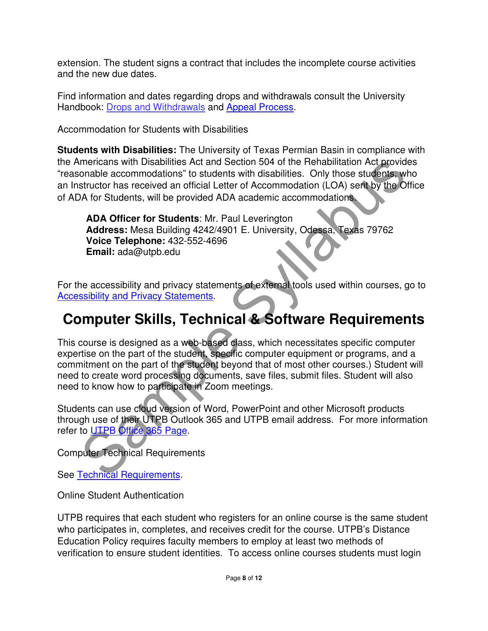extension. The student signs a contract that includes the incomplete course activities and the new due dates.

Find information and dates regarding drops and withdrawals consult the University Handbook: Drops and Withdrawals and Appeal Process.

Accommodation for Students with Disabilities

**Students with Disabilities:** The University of Texas Permian Basin in compliance with the Americans with Disabilities Act and Section 504 of the Rehabilitation Act provides "reasonable accommodations" to students with disabilities. Only those students, who an Instructor has received an official Letter of Accommodation (LOA) sent by the Office of ADA for Students, will be provided ADA academic accommodations.

**ADA Officer for Students**: Mr. Paul Leverington **Address:** Mesa Building 4242/4901 E. University, Odessa, Texas 79762 **Voice Telephone:** 432-552-4696 **Email:** ada@utpb.edu

For the accessibility and privacy statements of external tools used within courses, go to Accessibility and Privacy Statements.

## **Computer Skills, Technical & Software Requirements**

mericans with Disabilities Act and Section 504 of the Rehabilitation Act provides<br>
structor has received an official Letter of Accommodation (LOA) settles who<br>
structor has received an official Letter of Accommodation (LOA This course is designed as a web-based class, which necessitates specific computer expertise on the part of the student, specific computer equipment or programs, and a commitment on the part of the student beyond that of most other courses.) Student will need to create word processing documents, save files, submit files. Student will also need to know how to participate in Zoom meetings.

Students can use cloud version of Word, PowerPoint and other Microsoft products through use of their UTPB Outlook 365 and UTPB email address. For more information refer to UTPB Office 365 Page.

Computer Technical Requirements

See Technical Requirements.

Online Student Authentication

UTPB requires that each student who registers for an online course is the same student who participates in, completes, and receives credit for the course. UTPB's Distance Education Policy requires faculty members to employ at least two methods of verification to ensure student identities. To access online courses students must login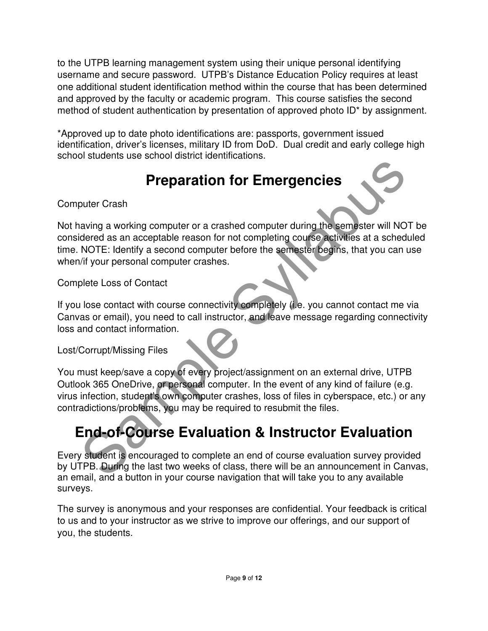to the UTPB learning management system using their unique personal identifying username and secure password. UTPB's Distance Education Policy requires at least one additional student identification method within the course that has been determined and approved by the faculty or academic program. This course satisfies the second method of student authentication by presentation of approved photo ID\* by assignment.

\*Approved up to date photo identifications are: passports, government issued identification, driver's licenses, military ID from DoD. Dual credit and early college high school students use school district identifications.

## **Preparation for Emergencies**

Computer Crash

**Preparation for Emergencies**<br>
puter Crash<br>
puter Crash<br>
puter Crash<br>
puter Crash<br>
puter of a crashed computer during the semester will NOT<br>
idered as an acceptable reason for not completing course activities at a schedule Not having a working computer or a crashed computer during the semester will NOT be considered as an acceptable reason for not completing course activities at a scheduled time. NOTE: Identify a second computer before the semester begins, that you can use when/if your personal computer crashes.

Complete Loss of Contact

If you lose contact with course connectivity completely (i.e. you cannot contact me via Canvas or email), you need to call instructor, and leave message regarding connectivity loss and contact information.

Lost/Corrupt/Missing Files

You must keep/save a copy of every project/assignment on an external drive, UTPB Outlook 365 OneDrive, or personal computer. In the event of any kind of failure (e.g. virus infection, student's own computer crashes, loss of files in cyberspace, etc.) or any contradictions/problems, you may be required to resubmit the files.

# **End-of-Course Evaluation & Instructor Evaluation**

Every student is encouraged to complete an end of course evaluation survey provided by UTPB. During the last two weeks of class, there will be an announcement in Canvas, an email, and a button in your course navigation that will take you to any available surveys.

The survey is anonymous and your responses are confidential. Your feedback is critical to us and to your instructor as we strive to improve our offerings, and our support of you, the students.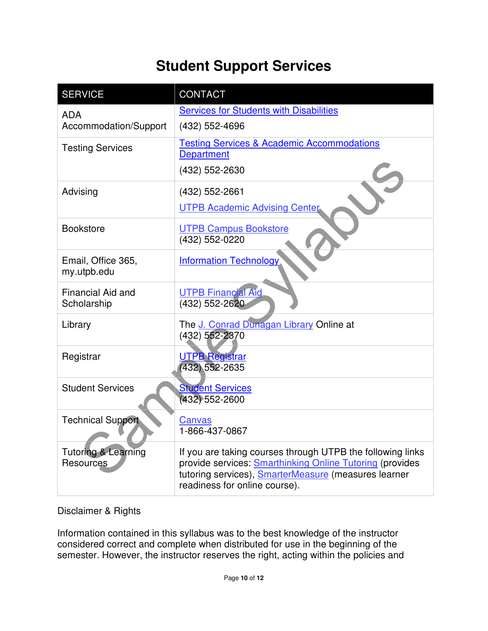## **Student Support Services**

| <b>SERVICE</b>                 | <b>CONTACT</b>                                                                                                                                                             |  |  |
|--------------------------------|----------------------------------------------------------------------------------------------------------------------------------------------------------------------------|--|--|
| <b>ADA</b>                     | <b>Services for Students with Disabilities</b>                                                                                                                             |  |  |
| Accommodation/Support          | (432) 552-4696                                                                                                                                                             |  |  |
| <b>Testing Services</b>        | <b>Testing Services &amp; Academic Accommodations</b>                                                                                                                      |  |  |
|                                | <b>Department</b>                                                                                                                                                          |  |  |
|                                | (432) 552-2630                                                                                                                                                             |  |  |
| Advising                       | (432) 552-2661                                                                                                                                                             |  |  |
|                                | <b>UTPB Academic Advising Center</b>                                                                                                                                       |  |  |
| <b>Bookstore</b>               | <b>UTPB Campus Bookstore</b>                                                                                                                                               |  |  |
|                                | (432) 552-0220                                                                                                                                                             |  |  |
| Email, Office 365,             | <b>Information Technology</b>                                                                                                                                              |  |  |
| my.utpb.edu                    |                                                                                                                                                                            |  |  |
| Financial Aid and              | <b>UTPB Financial Aid</b>                                                                                                                                                  |  |  |
| Scholarship                    | (432) 552-2620                                                                                                                                                             |  |  |
| Library                        | The J. Conrad Dunagan Library Online at                                                                                                                                    |  |  |
|                                | (432) 552-2370                                                                                                                                                             |  |  |
| Registrar                      | <b>UTPB Registrar</b>                                                                                                                                                      |  |  |
|                                |                                                                                                                                                                            |  |  |
| <b>Student Services</b>        | <b>Student Services</b>                                                                                                                                                    |  |  |
|                                |                                                                                                                                                                            |  |  |
| <b>Technical Support</b>       | Canvas                                                                                                                                                                     |  |  |
|                                |                                                                                                                                                                            |  |  |
| <b>Tutoring &amp; Learning</b> | If you are taking courses through UTPB the following links                                                                                                                 |  |  |
| <b>Resources</b>               |                                                                                                                                                                            |  |  |
|                                | readiness for online course).                                                                                                                                              |  |  |
|                                | (432) 552-2635<br>$(432) 552 - 2600$<br>1-866-437-0867<br>provide services: Smarthinking Online Tutoring (provides<br>tutoring services), SmarterMeasure (measures learner |  |  |

#### Disclaimer & Rights

Information contained in this syllabus was to the best knowledge of the instructor considered correct and complete when distributed for use in the beginning of the semester. However, the instructor reserves the right, acting within the policies and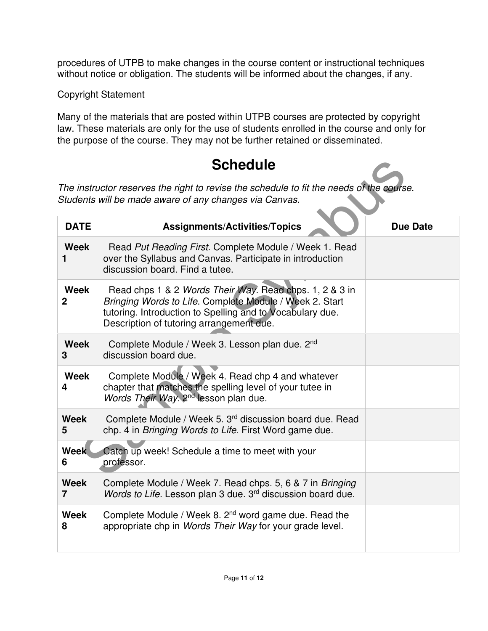procedures of UTPB to make changes in the course content or instructional techniques without notice or obligation. The students will be informed about the changes, if any.

Copyright Statement

Many of the materials that are posted within UTPB courses are protected by copyright law. These materials are only for the use of students enrolled in the course and only for the purpose of the course. They may not be further retained or disseminated.

## **Schedule**

| <b>Schedule</b>                                                                                                                                    |                                                                                                                                                                                                                             |                 |  |  |  |
|----------------------------------------------------------------------------------------------------------------------------------------------------|-----------------------------------------------------------------------------------------------------------------------------------------------------------------------------------------------------------------------------|-----------------|--|--|--|
| The instructor reserves the right to revise the schedule to fit the needs of the course.<br>Students will be made aware of any changes via Canvas. |                                                                                                                                                                                                                             |                 |  |  |  |
| <b>DATE</b>                                                                                                                                        | <b>Assignments/Activities/Topics</b>                                                                                                                                                                                        | <b>Due Date</b> |  |  |  |
| <b>Week</b><br>1                                                                                                                                   | Read Put Reading First. Complete Module / Week 1. Read<br>over the Syllabus and Canvas. Participate in introduction<br>discussion board. Find a tutee.                                                                      |                 |  |  |  |
| Week<br>$\mathbf 2$                                                                                                                                | Read chps 1 & 2 Words Their Way. Read chps. 1, 2 & 3 in<br>Bringing Words to Life. Complete Module / Week 2. Start<br>tutoring. Introduction to Spelling and to Vocabulary due.<br>Description of tutoring arrangement due. |                 |  |  |  |
| Week<br>3                                                                                                                                          | Complete Module / Week 3. Lesson plan due. 2nd<br>discussion board due.                                                                                                                                                     |                 |  |  |  |
| Week<br>4                                                                                                                                          | Complete Module / Week 4. Read chp 4 and whatever<br>chapter that matches the spelling level of your tutee in<br>Words Their Way. 2 <sup>nd</sup> lesson plan due.                                                          |                 |  |  |  |
| <b>Week</b><br>5                                                                                                                                   | Complete Module / Week 5. 3 <sup>rd</sup> discussion board due. Read<br>chp. 4 in Bringing Words to Life. First Word game due.                                                                                              |                 |  |  |  |
| <b>Week</b><br>6                                                                                                                                   | Catch up week! Schedule a time to meet with your<br>professor.                                                                                                                                                              |                 |  |  |  |
| <b>Week</b><br>$\overline{7}$                                                                                                                      | Complete Module / Week 7. Read chps. 5, 6 & 7 in Bringing<br>Words to Life. Lesson plan 3 due. 3 <sup>rd</sup> discussion board due.                                                                                        |                 |  |  |  |
| <b>Week</b><br>8                                                                                                                                   | Complete Module / Week 8. 2 <sup>nd</sup> word game due. Read the<br>appropriate chp in Words Their Way for your grade level.                                                                                               |                 |  |  |  |